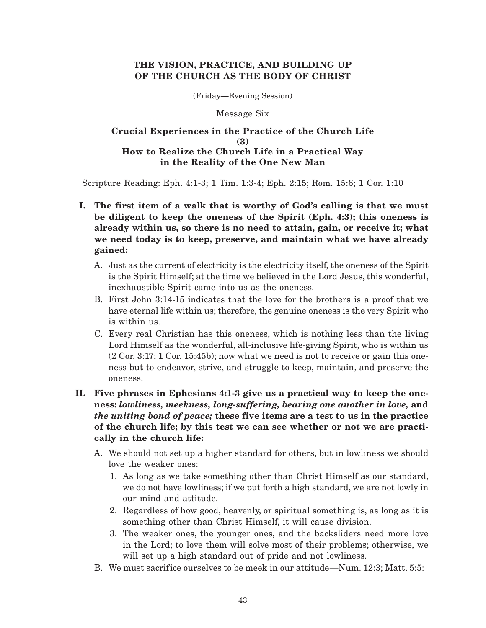## **THE VISION, PRACTICE, AND BUILDING UP OF THE CHURCH AS THE BODY OF CHRIST**

(Friday—Evening Session)

### Message Six

## **Crucial Experiences in the Practice of the Church Life (3) How to Realize the Church Life in a Practical Way in the Reality of the One New Man**

Scripture Reading: Eph. 4:1-3; 1 Tim. 1:3-4; Eph. 2:15; Rom. 15:6; 1 Cor. 1:10

- **I. The first item of a walk that is worthy of God's calling is that we must be diligent to keep the oneness of the Spirit (Eph. 4:3); this oneness is already within us, so there is no need to attain, gain, or receive it; what we need today is to keep, preserve, and maintain what we have already gained:**
	- A. Just as the current of electricity is the electricity itself, the oneness of the Spirit is the Spirit Himself; at the time we believed in the Lord Jesus, this wonderful, inexhaustible Spirit came into us as the oneness.
	- B. First John 3:14-15 indicates that the love for the brothers is a proof that we have eternal life within us; therefore, the genuine oneness is the very Spirit who is within us.
	- C. Every real Christian has this oneness, which is nothing less than the living Lord Himself as the wonderful, all-inclusive life-giving Spirit, who is within us (2 Cor. 3:17; 1 Cor. 15:45b); now what we need is not to receive or gain this oneness but to endeavor, strive, and struggle to keep, maintain, and preserve the oneness.

# **II. Five phrases in Ephesians 4:1-3 give us a practical way to keep the oneness:** *lowliness, meekness, long-suffering, bearing one another in love,* **and** *the uniting bond of peace;* **these five items are a test to us in the practice of the church life; by this test we can see whether or not we are practically in the church life:**

- A. We should not set up a higher standard for others, but in lowliness we should love the weaker ones:
	- 1. As long as we take something other than Christ Himself as our standard, we do not have lowliness; if we put forth a high standard, we are not lowly in our mind and attitude.
	- 2. Regardless of how good, heavenly, or spiritual something is, as long as it is something other than Christ Himself, it will cause division.
	- 3. The weaker ones, the younger ones, and the backsliders need more love in the Lord; to love them will solve most of their problems; otherwise, we will set up a high standard out of pride and not lowliness.
- B. We must sacrifice ourselves to be meek in our attitude—Num. 12:3; Matt. 5:5: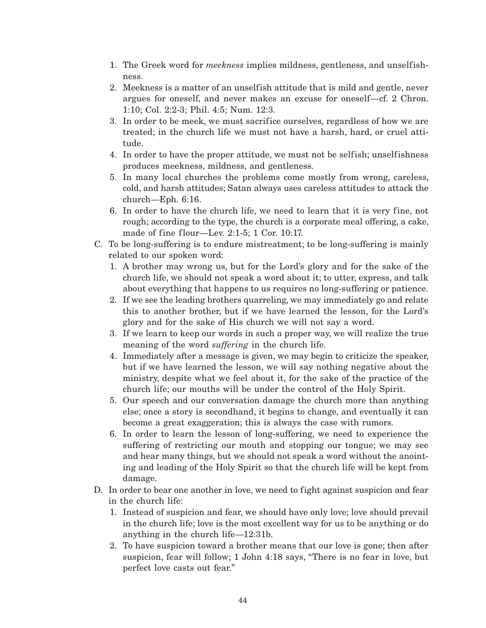- 1. The Greek word for *meekness* implies mildness, gentleness, and unselfishness.
- 2. Meekness is a matter of an unselfish attitude that is mild and gentle, never argues for oneself, and never makes an excuse for oneself—cf. 2 Chron. 1:10; Col. 2:2-3; Phil. 4:5; Num. 12:3.
- 3. In order to be meek, we must sacrifice ourselves, regardless of how we are treated; in the church life we must not have a harsh, hard, or cruel attitude.
- 4. In order to have the proper attitude, we must not be selfish; unselfishness produces meekness, mildness, and gentleness.
- 5. In many local churches the problems come mostly from wrong, careless, cold, and harsh attitudes; Satan always uses careless attitudes to attack the church—Eph. 6:16.
- 6. In order to have the church life, we need to learn that it is very fine, not rough; according to the type, the church is a corporate meal offering, a cake, made of fine flour—Lev. 2:1-5; 1 Cor. 10:17.
- C. To be long-suffering is to endure mistreatment; to be long-suffering is mainly related to our spoken word:
	- 1. A brother may wrong us, but for the Lord's glory and for the sake of the church life, we should not speak a word about it; to utter, express, and talk about everything that happens to us requires no long-suffering or patience.
	- 2. If we see the leading brothers quarreling, we may immediately go and relate this to another brother, but if we have learned the lesson, for the Lord's glory and for the sake of His church we will not say a word.
	- 3. If we learn to keep our words in such a proper way, we will realize the true meaning of the word *suffering* in the church life.
	- 4. Immediately after a message is given, we may begin to criticize the speaker, but if we have learned the lesson, we will say nothing negative about the ministry, despite what we feel about it, for the sake of the practice of the church life; our mouths will be under the control of the Holy Spirit.
	- 5. Our speech and our conversation damage the church more than anything else; once a story is secondhand, it begins to change, and eventually it can become a great exaggeration; this is always the case with rumors.
	- 6. In order to learn the lesson of long-suffering, we need to experience the suffering of restricting our mouth and stopping our tongue; we may see and hear many things, but we should not speak a word without the anointing and leading of the Holy Spirit so that the church life will be kept from damage.
- D. In order to bear one another in love, we need to fight against suspicion and fear in the church life:
	- 1. Instead of suspicion and fear, we should have only love; love should prevail in the church life; love is the most excellent way for us to be anything or do anything in the church life—12:31b.
	- 2. To have suspicion toward a brother means that our love is gone; then after suspicion, fear will follow; 1 John 4:18 says, "There is no fear in love, but perfect love casts out fear."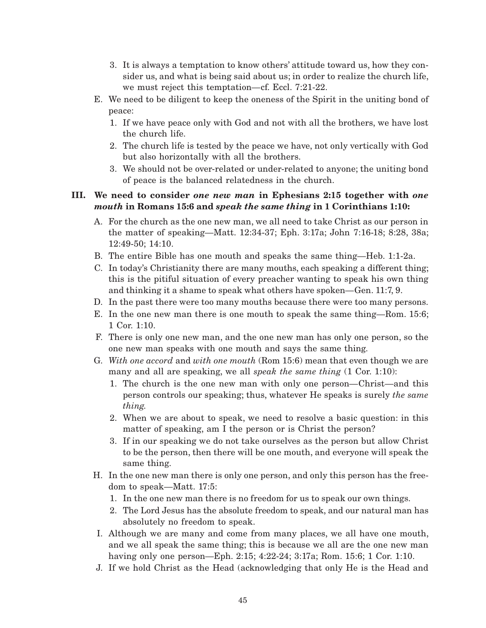- 3. It is always a temptation to know others' attitude toward us, how they consider us, and what is being said about us; in order to realize the church life, we must reject this temptation—cf. Eccl. 7:21-22.
- E. We need to be diligent to keep the oneness of the Spirit in the uniting bond of peace:
	- 1. If we have peace only with God and not with all the brothers, we have lost the church life.
	- 2. The church life is tested by the peace we have, not only vertically with God but also horizontally with all the brothers.
	- 3. We should not be over-related or under-related to anyone; the uniting bond of peace is the balanced relatedness in the church.

# **III. We need to consider** *one new man* **in Ephesians 2:15 together with** *one mouth* **in Romans 15:6 and** *speak the same thing* **in 1 Corinthians 1:10:**

- A. For the church as the one new man, we all need to take Christ as our person in the matter of speaking—Matt. 12:34-37; Eph. 3:17a; John 7:16-18; 8:28, 38a; 12:49-50; 14:10.
- B. The entire Bible has one mouth and speaks the same thing—Heb. 1:1-2a.
- C. In today's Christianity there are many mouths, each speaking a different thing; this is the pitiful situation of every preacher wanting to speak his own thing and thinking it a shame to speak what others have spoken—Gen. 11:7, 9.
- D. In the past there were too many mouths because there were too many persons.
- E. In the one new man there is one mouth to speak the same thing—Rom. 15:6; 1 Cor. 1:10.
- F. There is only one new man, and the one new man has only one person, so the one new man speaks with one mouth and says the same thing.
- G. *With one accord* and *with one mouth* (Rom 15:6) mean that even though we are many and all are speaking, we all *speak the same thing* (1 Cor. 1:10):
	- 1. The church is the one new man with only one person—Christ—and this person controls our speaking; thus, whatever He speaks is surely *the same thing.*
	- 2. When we are about to speak, we need to resolve a basic question: in this matter of speaking, am I the person or is Christ the person?
	- 3. If in our speaking we do not take ourselves as the person but allow Christ to be the person, then there will be one mouth, and everyone will speak the same thing.
- H. In the one new man there is only one person, and only this person has the freedom to speak—Matt. 17:5:
	- 1. In the one new man there is no freedom for us to speak our own things.
	- 2. The Lord Jesus has the absolute freedom to speak, and our natural man has absolutely no freedom to speak.
- I. Although we are many and come from many places, we all have one mouth, and we all speak the same thing; this is because we all are the one new man having only one person—Eph. 2:15; 4:22-24; 3:17a; Rom. 15:6; 1 Cor. 1:10.
- J. If we hold Christ as the Head (acknowledging that only He is the Head and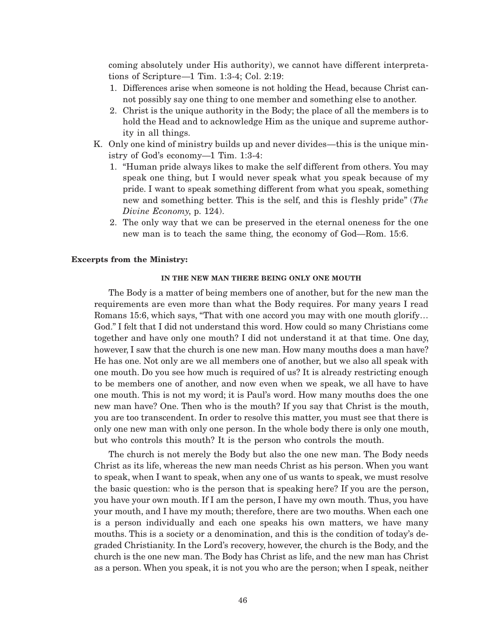coming absolutely under His authority), we cannot have different interpretations of Scripture—1 Tim. 1:3-4; Col. 2:19:

- 1. Differences arise when someone is not holding the Head, because Christ cannot possibly say one thing to one member and something else to another.
- 2. Christ is the unique authority in the Body; the place of all the members is to hold the Head and to acknowledge Him as the unique and supreme authority in all things.
- K. Only one kind of ministry builds up and never divides—this is the unique ministry of God's economy—1 Tim. 1:3-4:
	- 1. "Human pride always likes to make the self different from others. You may speak one thing, but I would never speak what you speak because of my pride. I want to speak something different from what you speak, something new and something better. This is the self, and this is fleshly pride" (*The Divine Economy*, p. 124).
	- 2. The only way that we can be preserved in the eternal oneness for the one new man is to teach the same thing, the economy of God—Rom. 15:6.

### **Excerpts from the Ministry:**

#### **IN THE NEW MAN THERE BEING ONLY ONE MOUTH**

The Body is a matter of being members one of another, but for the new man the requirements are even more than what the Body requires. For many years I read Romans 15:6, which says, "That with one accord you may with one mouth glorify… God." I felt that I did not understand this word. How could so many Christians come together and have only one mouth? I did not understand it at that time. One day, however, I saw that the church is one new man. How many mouths does a man have? He has one. Not only are we all members one of another, but we also all speak with one mouth. Do you see how much is required of us? It is already restricting enough to be members one of another, and now even when we speak, we all have to have one mouth. This is not my word; it is Paul's word. How many mouths does the one new man have? One. Then who is the mouth? If you say that Christ is the mouth, you are too transcendent. In order to resolve this matter, you must see that there is only one new man with only one person. In the whole body there is only one mouth, but who controls this mouth? It is the person who controls the mouth.

The church is not merely the Body but also the one new man. The Body needs Christ as its life, whereas the new man needs Christ as his person. When you want to speak, when I want to speak, when any one of us wants to speak, we must resolve the basic question: who is the person that is speaking here? If you are the person, you have your own mouth. If I am the person, I have my own mouth. Thus, you have your mouth, and I have my mouth; therefore, there are two mouths. When each one is a person individually and each one speaks his own matters, we have many mouths. This is a society or a denomination, and this is the condition of today's degraded Christianity. In the Lord's recovery, however, the church is the Body, and the church is the one new man. The Body has Christ as life, and the new man has Christ as a person. When you speak, it is not you who are the person; when I speak, neither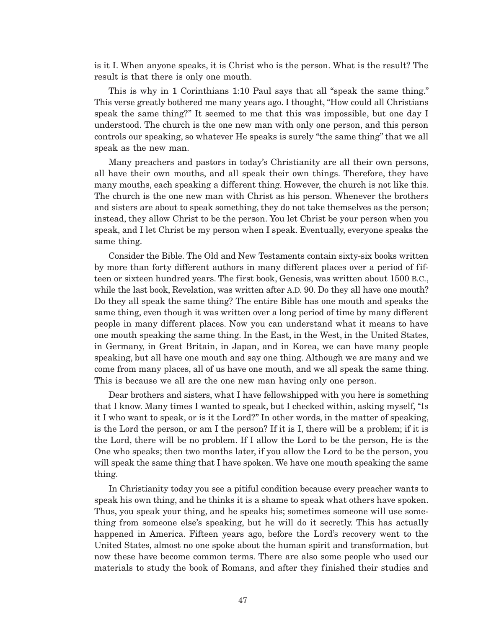is it I. When anyone speaks, it is Christ who is the person. What is the result? The result is that there is only one mouth.

This is why in 1 Corinthians 1:10 Paul says that all "speak the same thing." This verse greatly bothered me many years ago. I thought, "How could all Christians speak the same thing?" It seemed to me that this was impossible, but one day I understood. The church is the one new man with only one person, and this person controls our speaking, so whatever He speaks is surely "the same thing" that we all speak as the new man.

Many preachers and pastors in today's Christianity are all their own persons, all have their own mouths, and all speak their own things. Therefore, they have many mouths, each speaking a different thing. However, the church is not like this. The church is the one new man with Christ as his person. Whenever the brothers and sisters are about to speak something, they do not take themselves as the person; instead, they allow Christ to be the person. You let Christ be your person when you speak, and I let Christ be my person when I speak. Eventually, everyone speaks the same thing.

Consider the Bible. The Old and New Testaments contain sixty-six books written by more than forty different authors in many different places over a period of fifteen or sixteen hundred years. The first book, Genesis, was written about 1500 B.C., while the last book, Revelation, was written after A.D. 90. Do they all have one mouth? Do they all speak the same thing? The entire Bible has one mouth and speaks the same thing, even though it was written over a long period of time by many different people in many different places. Now you can understand what it means to have one mouth speaking the same thing. In the East, in the West, in the United States, in Germany, in Great Britain, in Japan, and in Korea, we can have many people speaking, but all have one mouth and say one thing. Although we are many and we come from many places, all of us have one mouth, and we all speak the same thing. This is because we all are the one new man having only one person.

Dear brothers and sisters, what I have fellowshipped with you here is something that I know. Many times I wanted to speak, but I checked within, asking myself, "Is it I who want to speak, or is it the Lord?" In other words, in the matter of speaking, is the Lord the person, or am I the person? If it is I, there will be a problem; if it is the Lord, there will be no problem. If I allow the Lord to be the person, He is the One who speaks; then two months later, if you allow the Lord to be the person, you will speak the same thing that I have spoken. We have one mouth speaking the same thing.

In Christianity today you see a pitiful condition because every preacher wants to speak his own thing, and he thinks it is a shame to speak what others have spoken. Thus, you speak your thing, and he speaks his; sometimes someone will use something from someone else's speaking, but he will do it secretly. This has actually happened in America. Fifteen years ago, before the Lord's recovery went to the United States, almost no one spoke about the human spirit and transformation, but now these have become common terms. There are also some people who used our materials to study the book of Romans, and after they finished their studies and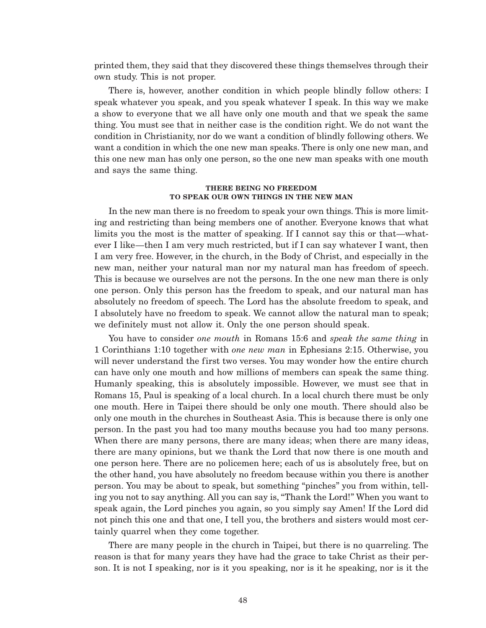printed them, they said that they discovered these things themselves through their own study. This is not proper.

There is, however, another condition in which people blindly follow others: I speak whatever you speak, and you speak whatever I speak. In this way we make a show to everyone that we all have only one mouth and that we speak the same thing. You must see that in neither case is the condition right. We do not want the condition in Christianity, nor do we want a condition of blindly following others. We want a condition in which the one new man speaks. There is only one new man, and this one new man has only one person, so the one new man speaks with one mouth and says the same thing.

#### **THERE BEING NO FREEDOM TO SPEAK OUR OWN THINGS IN THE NEW MAN**

In the new man there is no freedom to speak your own things. This is more limiting and restricting than being members one of another. Everyone knows that what limits you the most is the matter of speaking. If I cannot say this or that—whatever I like—then I am very much restricted, but if I can say whatever I want, then I am very free. However, in the church, in the Body of Christ, and especially in the new man, neither your natural man nor my natural man has freedom of speech. This is because we ourselves are not the persons. In the one new man there is only one person. Only this person has the freedom to speak, and our natural man has absolutely no freedom of speech. The Lord has the absolute freedom to speak, and I absolutely have no freedom to speak. We cannot allow the natural man to speak; we definitely must not allow it. Only the one person should speak.

You have to consider *one mouth* in Romans 15:6 and *speak the same thing* in 1 Corinthians 1:10 together with *one new man* in Ephesians 2:15. Otherwise, you will never understand the first two verses. You may wonder how the entire church can have only one mouth and how millions of members can speak the same thing. Humanly speaking, this is absolutely impossible. However, we must see that in Romans 15, Paul is speaking of a local church. In a local church there must be only one mouth. Here in Taipei there should be only one mouth. There should also be only one mouth in the churches in Southeast Asia. This is because there is only one person. In the past you had too many mouths because you had too many persons. When there are many persons, there are many ideas; when there are many ideas, there are many opinions, but we thank the Lord that now there is one mouth and one person here. There are no policemen here; each of us is absolutely free, but on the other hand, you have absolutely no freedom because within you there is another person. You may be about to speak, but something "pinches" you from within, telling you not to say anything. All you can say is, "Thank the Lord!" When you want to speak again, the Lord pinches you again, so you simply say Amen! If the Lord did not pinch this one and that one, I tell you, the brothers and sisters would most certainly quarrel when they come together.

There are many people in the church in Taipei, but there is no quarreling. The reason is that for many years they have had the grace to take Christ as their person. It is not I speaking, nor is it you speaking, nor is it he speaking, nor is it the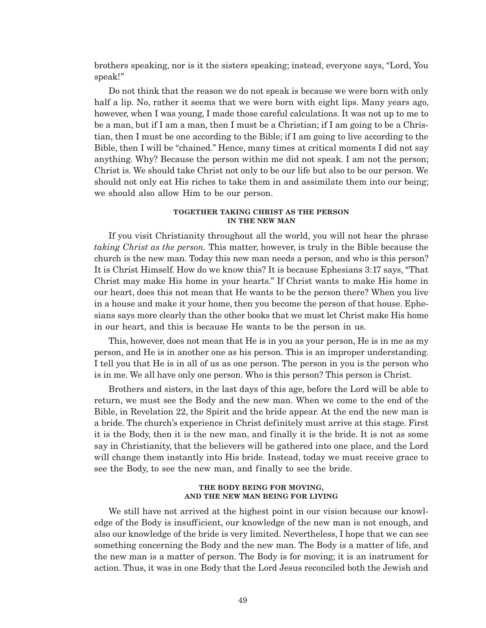brothers speaking, nor is it the sisters speaking; instead, everyone says, "Lord, You speak!"

Do not think that the reason we do not speak is because we were born with only half a lip. No, rather it seems that we were born with eight lips. Many years ago, however, when I was young, I made those careful calculations. It was not up to me to be a man, but if I am a man, then I must be a Christian; if I am going to be a Christian, then I must be one according to the Bible; if I am going to live according to the Bible, then I will be "chained." Hence, many times at critical moments I did not say anything. Why? Because the person within me did not speak. I am not the person; Christ is. We should take Christ not only to be our life but also to be our person. We should not only eat His riches to take them in and assimilate them into our being; we should also allow Him to be our person.

### **TOGETHER TAKING CHRIST AS THE PERSON IN THE NEW MAN**

If you visit Christianity throughout all the world, you will not hear the phrase *taking Christ as the person.* This matter, however, is truly in the Bible because the church is the new man. Today this new man needs a person, and who is this person? It is Christ Himself. How do we know this? It is because Ephesians 3:17 says, "That Christ may make His home in your hearts." If Christ wants to make His home in our heart, does this not mean that He wants to be the person there? When you live in a house and make it your home, then you become the person of that house. Ephesians says more clearly than the other books that we must let Christ make His home in our heart, and this is because He wants to be the person in us.

This, however, does not mean that He is in you as your person, He is in me as my person, and He is in another one as his person. This is an improper understanding. I tell you that He is in all of us as one person. The person in you is the person who is in me. We all have only one person. Who is this person? This person is Christ.

Brothers and sisters, in the last days of this age, before the Lord will be able to return, we must see the Body and the new man. When we come to the end of the Bible, in Revelation 22, the Spirit and the bride appear. At the end the new man is a bride. The church's experience in Christ definitely must arrive at this stage. First it is the Body, then it is the new man, and finally it is the bride. It is not as some say in Christianity, that the believers will be gathered into one place, and the Lord will change them instantly into His bride. Instead, today we must receive grace to see the Body, to see the new man, and finally to see the bride.

### **THE BODY BEING FOR MOVING, AND THE NEW MAN BEING FOR LIVING**

We still have not arrived at the highest point in our vision because our knowledge of the Body is insufficient, our knowledge of the new man is not enough, and also our knowledge of the bride is very limited. Nevertheless, I hope that we can see something concerning the Body and the new man. The Body is a matter of life, and the new man is a matter of person. The Body is for moving; it is an instrument for action. Thus, it was in one Body that the Lord Jesus reconciled both the Jewish and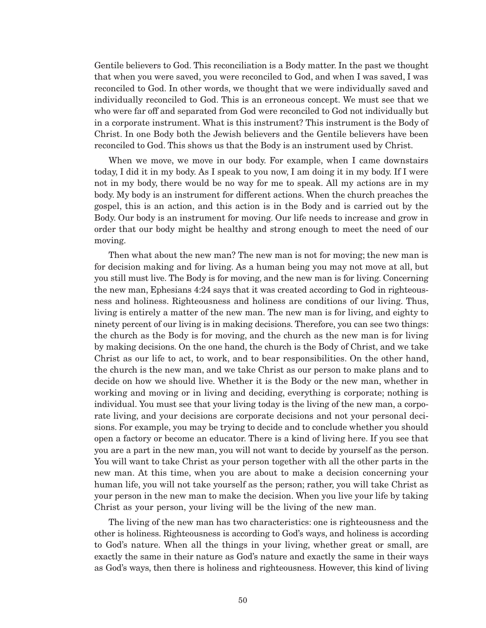Gentile believers to God. This reconciliation is a Body matter. In the past we thought that when you were saved, you were reconciled to God, and when I was saved, I was reconciled to God. In other words, we thought that we were individually saved and individually reconciled to God. This is an erroneous concept. We must see that we who were far off and separated from God were reconciled to God not individually but in a corporate instrument. What is this instrument? This instrument is the Body of Christ. In one Body both the Jewish believers and the Gentile believers have been reconciled to God. This shows us that the Body is an instrument used by Christ.

When we move, we move in our body. For example, when I came downstairs today, I did it in my body. As I speak to you now, I am doing it in my body. If I were not in my body, there would be no way for me to speak. All my actions are in my body. My body is an instrument for different actions. When the church preaches the gospel, this is an action, and this action is in the Body and is carried out by the Body. Our body is an instrument for moving. Our life needs to increase and grow in order that our body might be healthy and strong enough to meet the need of our moving.

Then what about the new man? The new man is not for moving; the new man is for decision making and for living. As a human being you may not move at all, but you still must live. The Body is for moving, and the new man is for living. Concerning the new man, Ephesians 4:24 says that it was created according to God in righteousness and holiness. Righteousness and holiness are conditions of our living. Thus, living is entirely a matter of the new man. The new man is for living, and eighty to ninety percent of our living is in making decisions. Therefore, you can see two things: the church as the Body is for moving, and the church as the new man is for living by making decisions. On the one hand, the church is the Body of Christ, and we take Christ as our life to act, to work, and to bear responsibilities. On the other hand, the church is the new man, and we take Christ as our person to make plans and to decide on how we should live. Whether it is the Body or the new man, whether in working and moving or in living and deciding, everything is corporate; nothing is individual. You must see that your living today is the living of the new man, a corporate living, and your decisions are corporate decisions and not your personal decisions. For example, you may be trying to decide and to conclude whether you should open a factory or become an educator. There is a kind of living here. If you see that you are a part in the new man, you will not want to decide by yourself as the person. You will want to take Christ as your person together with all the other parts in the new man. At this time, when you are about to make a decision concerning your human life, you will not take yourself as the person; rather, you will take Christ as your person in the new man to make the decision. When you live your life by taking Christ as your person, your living will be the living of the new man.

The living of the new man has two characteristics: one is righteousness and the other is holiness. Righteousness is according to God's ways, and holiness is according to God's nature. When all the things in your living, whether great or small, are exactly the same in their nature as God's nature and exactly the same in their ways as God's ways, then there is holiness and righteousness. However, this kind of living